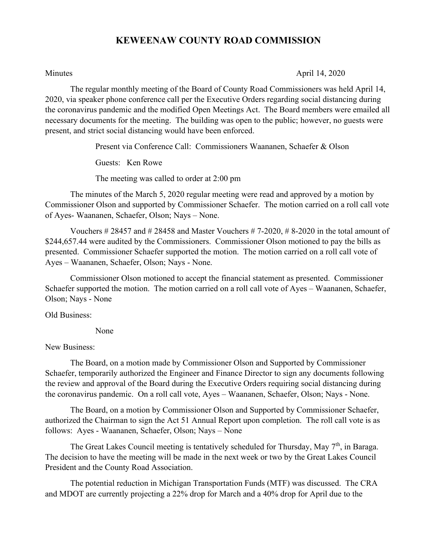## **KEWEENAW COUNTY ROAD COMMISSION**

Minutes April 14, 2020

The regular monthly meeting of the Board of County Road Commissioners was held April 14, 2020, via speaker phone conference call per the Executive Orders regarding social distancing during the coronavirus pandemic and the modified Open Meetings Act. The Board members were emailed all necessary documents for the meeting. The building was open to the public; however, no guests were present, and strict social distancing would have been enforced.

Present via Conference Call: Commissioners Waananen, Schaefer & Olson

Guests: Ken Rowe

The meeting was called to order at 2:00 pm

The minutes of the March 5, 2020 regular meeting were read and approved by a motion by Commissioner Olson and supported by Commissioner Schaefer. The motion carried on a roll call vote of Ayes- Waananen, Schaefer, Olson; Nays – None.

Vouchers  $\# 28457$  and  $\# 28458$  and Master Vouchers  $\# 7$ -2020,  $\# 8$ -2020 in the total amount of \$244,657.44 were audited by the Commissioners. Commissioner Olson motioned to pay the bills as presented. Commissioner Schaefer supported the motion. The motion carried on a roll call vote of Ayes – Waananen, Schaefer, Olson; Nays - None.

Commissioner Olson motioned to accept the financial statement as presented. Commissioner Schaefer supported the motion. The motion carried on a roll call vote of Ayes – Waananen, Schaefer, Olson; Nays - None

Old Business:

None

New Business:

The Board, on a motion made by Commissioner Olson and Supported by Commissioner Schaefer, temporarily authorized the Engineer and Finance Director to sign any documents following the review and approval of the Board during the Executive Orders requiring social distancing during the coronavirus pandemic. On a roll call vote, Ayes – Waananen, Schaefer, Olson; Nays - None.

The Board, on a motion by Commissioner Olson and Supported by Commissioner Schaefer, authorized the Chairman to sign the Act 51 Annual Report upon completion. The roll call vote is as follows: Ayes - Waananen, Schaefer, Olson; Nays – None

The Great Lakes Council meeting is tentatively scheduled for Thursday, May  $7<sup>th</sup>$ , in Baraga. The decision to have the meeting will be made in the next week or two by the Great Lakes Council President and the County Road Association.

The potential reduction in Michigan Transportation Funds (MTF) was discussed. The CRA and MDOT are currently projecting a 22% drop for March and a 40% drop for April due to the